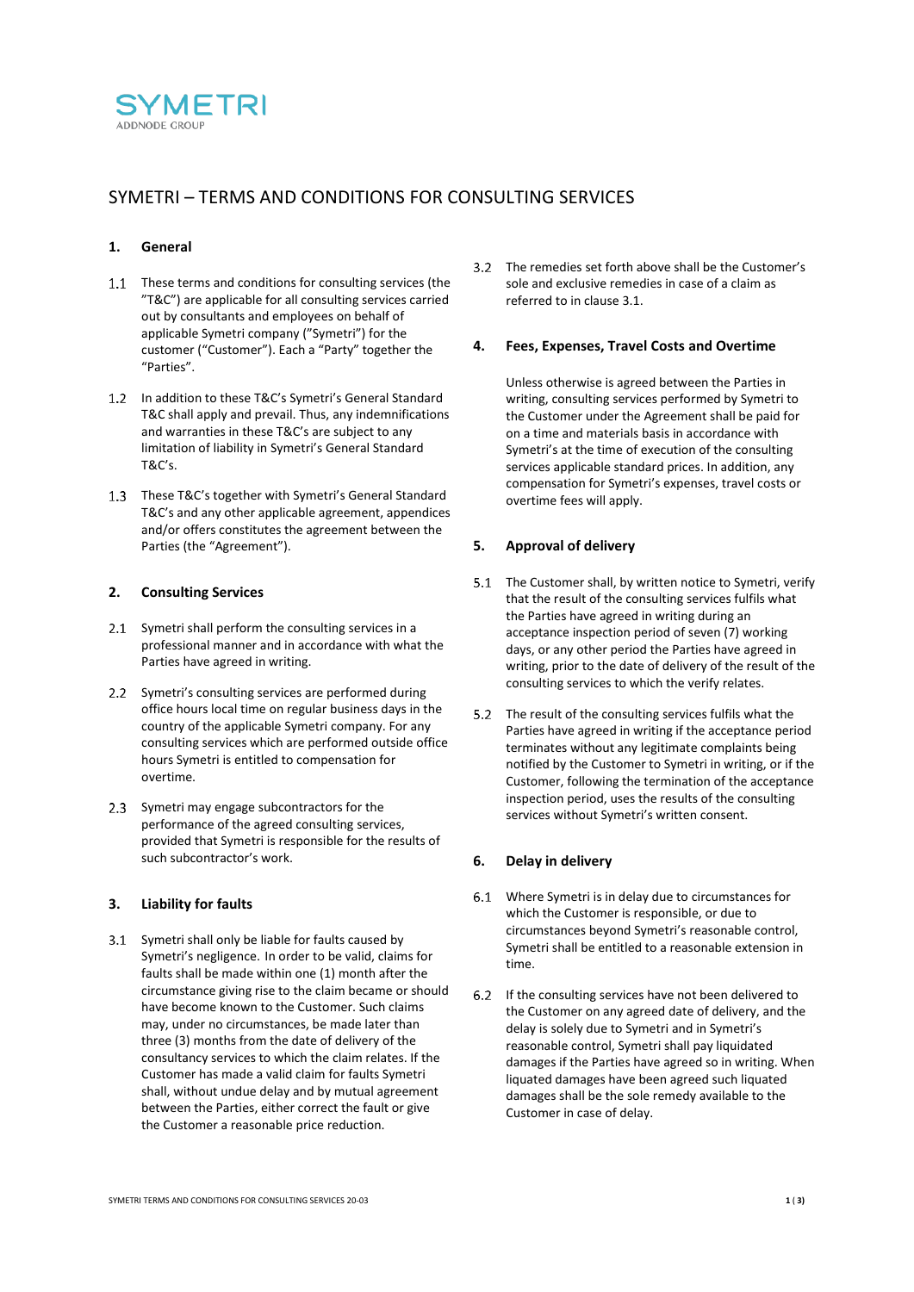

# SYMETRI – TERMS AND CONDITIONS FOR CONSULTING SERVICES

# **1. General**

- 1.1 These terms and conditions for consulting services (the "T&C") are applicable for all consulting services carried out by consultants and employees on behalf of applicable Symetri company ("Symetri") for the customer ("Customer"). Each a "Party" together the "Parties".
- 1.2 In addition to these T&C's Symetri's General Standard T&C shall apply and prevail. Thus, any indemnifications and warranties in these T&C's are subject to any limitation of liability in Symetri's General Standard T&C's.
- 1.3 These T&C's together with Symetri's General Standard T&C's and any other applicable agreement, appendices and/or offers constitutes the agreement between the Parties (the "Agreement").

## **2. Consulting Services**

- 2.1 Symetri shall perform the consulting services in a professional manner and in accordance with what the Parties have agreed in writing.
- 2.2 Symetri's consulting services are performed during office hours local time on regular business days in the country of the applicable Symetri company. For any consulting services which are performed outside office hours Symetri is entitled to compensation for overtime.
- 2.3 Symetri may engage subcontractors for the performance of the agreed consulting services, provided that Symetri is responsible for the results of such subcontractor's work.

#### **3. Liability for faults**

<span id="page-0-0"></span>Symetri shall only be liable for faults caused by Symetri's negligence. In order to be valid, claims for faults shall be made within one (1) month after the circumstance giving rise to the claim became or should have become known to the Customer. Such claims may, under no circumstances, be made later than three (3) months from the date of delivery of the consultancy services to which the claim relates. If the Customer has made a valid claim for faults Symetri shall, without undue delay and by mutual agreement between the Parties, either correct the fault or give the Customer a reasonable price reduction.

The remedies set forth above shall be the Customer's sole and exclusive remedies in case of a claim as referred to in claus[e 3.1.](#page-0-0)

# **4. Fees, Expenses, Travel Costs and Overtime**

Unless otherwise is agreed between the Parties in writing, consulting services performed by Symetri to the Customer under the Agreement shall be paid for on a time and materials basis in accordance with Symetri's at the time of execution of the consulting services applicable standard prices. In addition, any compensation for Symetri's expenses, travel costs or overtime fees will apply.

# **5. Approval of delivery**

- 5.1 The Customer shall, by written notice to Symetri, verify that the result of the consulting services fulfils what the Parties have agreed in writing during an acceptance inspection period of seven (7) working days, or any other period the Parties have agreed in writing, prior to the date of delivery of the result of the consulting services to which the verify relates.
- 5.2 The result of the consulting services fulfils what the Parties have agreed in writing if the acceptance period terminates without any legitimate complaints being notified by the Customer to Symetri in writing, or if the Customer, following the termination of the acceptance inspection period, uses the results of the consulting services without Symetri's written consent.

#### **6. Delay in delivery**

- Where Symetri is in delay due to circumstances for which the Customer is responsible, or due to circumstances beyond Symetri's reasonable control, Symetri shall be entitled to a reasonable extension in time.
- 6.2 If the consulting services have not been delivered to the Customer on any agreed date of delivery, and the delay is solely due to Symetri and in Symetri's reasonable control, Symetri shall pay liquidated damages if the Parties have agreed so in writing. When liquated damages have been agreed such liquated damages shall be the sole remedy available to the Customer in case of delay.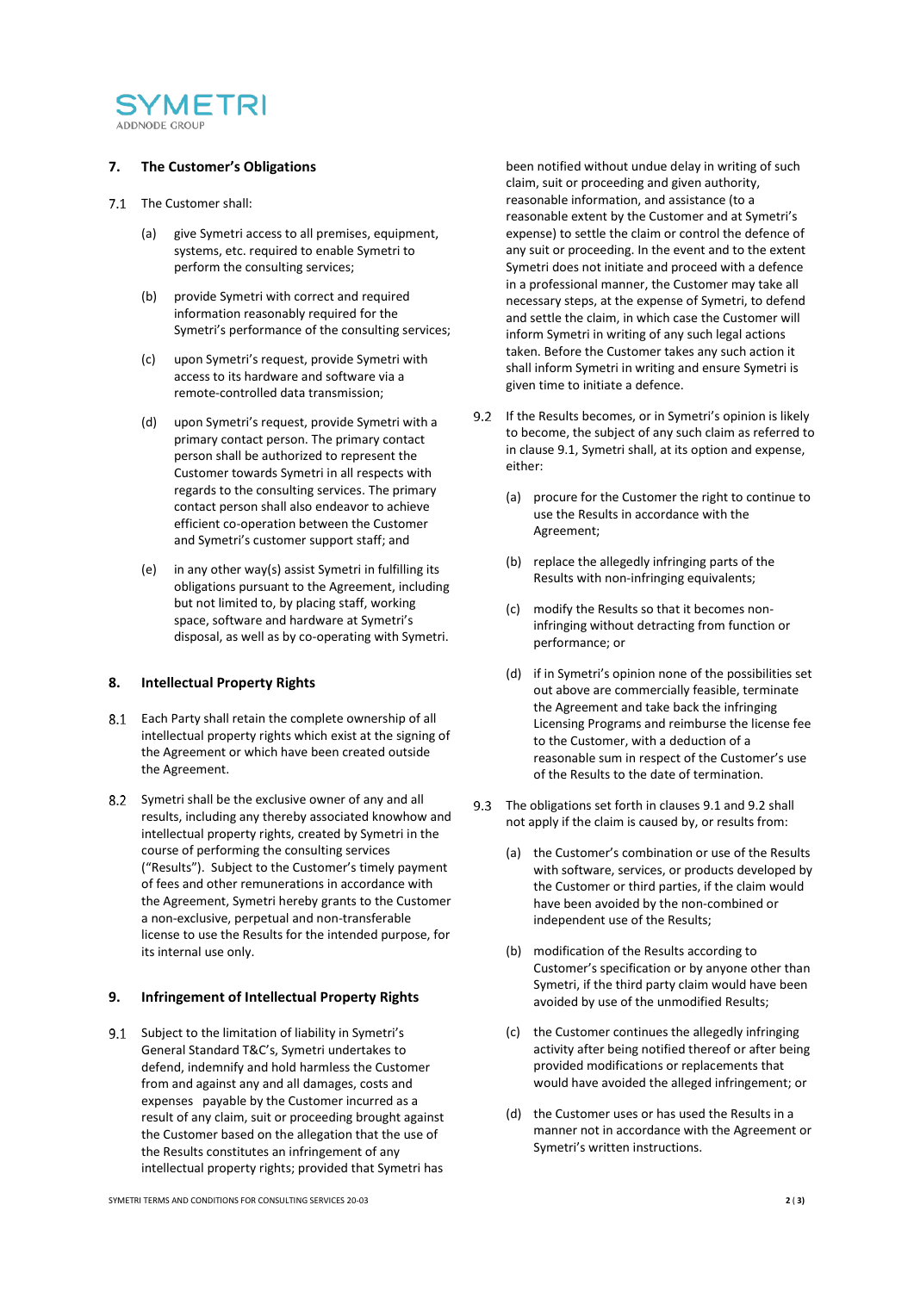

## **7. The Customer's Obligations**

- 7.1 The Customer shall:
	- (a) give Symetri access to all premises, equipment, systems, etc. required to enable Symetri to perform the consulting services;
	- (b) provide Symetri with correct and required information reasonably required for the Symetri's performance of the consulting services;
	- (c) upon Symetri's request, provide Symetri with access to its hardware and software via a remote-controlled data transmission;
	- (d) upon Symetri's request, provide Symetri with a primary contact person. The primary contact person shall be authorized to represent the Customer towards Symetri in all respects with regards to the consulting services. The primary contact person shall also endeavor to achieve efficient co-operation between the Customer and Symetri's customer support staff; and
	- (e) in any other way(s) assist Symetri in fulfilling its obligations pursuant to the Agreement, including but not limited to, by placing staff, working space, software and hardware at Symetri's disposal, as well as by co-operating with Symetri.

#### **8. Intellectual Property Rights**

- 8.1 Each Party shall retain the complete ownership of all intellectual property rights which exist at the signing of the Agreement or which have been created outside the Agreement.
- Symetri shall be the exclusive owner of any and all results, including any thereby associated knowhow and intellectual property rights, created by Symetri in the course of performing the consulting services ("Results"). Subject to the Customer's timely payment of fees and other remunerations in accordance with the Agreement, Symetri hereby grants to the Customer a non-exclusive, perpetual and non-transferable license to use the Results for the intended purpose, for its internal use only.

#### **9. Infringement of Intellectual Property Rights**

<span id="page-1-0"></span>9.1 Subject to the limitation of liability in Symetri's General Standard T&C's, Symetri undertakes to defend, indemnify and hold harmless the Customer from and against any and all damages, costs and expenses payable by the Customer incurred as a result of any claim, suit or proceeding brought against the Customer based on the allegation that the use of the Results constitutes an infringement of any intellectual property rights; provided that Symetri has

been notified without undue delay in writing of such claim, suit or proceeding and given authority, reasonable information, and assistance (to a reasonable extent by the Customer and at Symetri's expense) to settle the claim or control the defence of any suit or proceeding. In the event and to the extent Symetri does not initiate and proceed with a defence in a professional manner, the Customer may take all necessary steps, at the expense of Symetri, to defend and settle the claim, in which case the Customer will inform Symetri in writing of any such legal actions taken. Before the Customer takes any such action it shall inform Symetri in writing and ensure Symetri is given time to initiate a defence.

- <span id="page-1-1"></span>9.2 If the Results becomes, or in Symetri's opinion is likely to become, the subject of any such claim as referred to in claus[e 9.1,](#page-1-0) Symetri shall, at its option and expense, either:
	- (a) procure for the Customer the right to continue to use the Results in accordance with the Agreement;
	- (b) replace the allegedly infringing parts of the Results with non-infringing equivalents;
	- (c) modify the Results so that it becomes noninfringing without detracting from function or performance; or
	- (d) if in Symetri's opinion none of the possibilities set out above are commercially feasible, terminate the Agreement and take back the infringing Licensing Programs and reimburse the license fee to the Customer, with a deduction of a reasonable sum in respect of the Customer's use of the Results to the date of termination.
- The obligations set forth in clause[s 9.1](#page-1-0) an[d 9.2](#page-1-1) shall not apply if the claim is caused by, or results from:
	- (a) the Customer's combination or use of the Results with software, services, or products developed by the Customer or third parties, if the claim would have been avoided by the non-combined or independent use of the Results;
	- (b) modification of the Results according to Customer's specification or by anyone other than Symetri, if the third party claim would have been avoided by use of the unmodified Results;
	- (c) the Customer continues the allegedly infringing activity after being notified thereof or after being provided modifications or replacements that would have avoided the alleged infringement; or
	- (d) the Customer uses or has used the Results in a manner not in accordance with the Agreement or Symetri's written instructions.